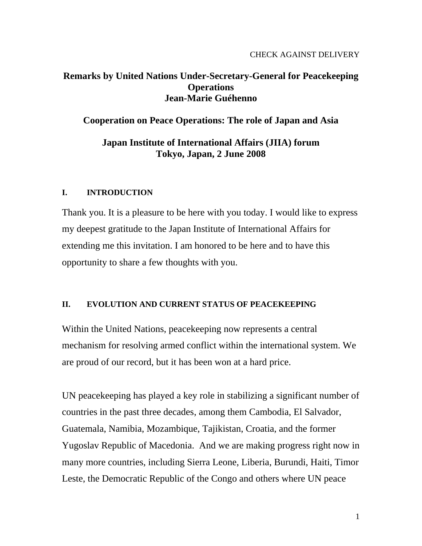# **Remarks by United Nations Under-Secretary-General for Peacekeeping Operations Jean-Marie Guéhenno**

## **Cooperation on Peace Operations: The role of Japan and Asia**

## **Japan Institute of International Affairs (JIIA) forum Tokyo, Japan, 2 June 2008**

## **I. INTRODUCTION**

Thank you. It is a pleasure to be here with you today. I would like to express my deepest gratitude to the Japan Institute of International Affairs for extending me this invitation. I am honored to be here and to have this opportunity to share a few thoughts with you.

### **II. EVOLUTION AND CURRENT STATUS OF PEACEKEEPING**

Within the United Nations, peacekeeping now represents a central mechanism for resolving armed conflict within the international system. We are proud of our record, but it has been won at a hard price.

UN peacekeeping has played a key role in stabilizing a significant number of countries in the past three decades, among them Cambodia, El Salvador, Guatemala, Namibia, Mozambique, Tajikistan, Croatia, and the former Yugoslav Republic of Macedonia. And we are making progress right now in many more countries, including Sierra Leone, Liberia, Burundi, Haiti, Timor Leste, the Democratic Republic of the Congo and others where UN peace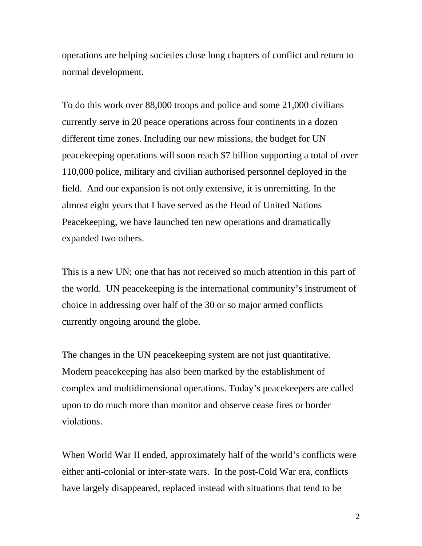operations are helping societies close long chapters of conflict and return to normal development.

To do this work over 88,000 troops and police and some 21,000 civilians currently serve in 20 peace operations across four continents in a dozen different time zones. Including our new missions, the budget for UN peacekeeping operations will soon reach \$7 billion supporting a total of over 110,000 police, military and civilian authorised personnel deployed in the field. And our expansion is not only extensive, it is unremitting. In the almost eight years that I have served as the Head of United Nations Peacekeeping, we have launched ten new operations and dramatically expanded two others.

This is a new UN; one that has not received so much attention in this part of the world. UN peacekeeping is the international community's instrument of choice in addressing over half of the 30 or so major armed conflicts currently ongoing around the globe.

The changes in the UN peacekeeping system are not just quantitative. Modern peacekeeping has also been marked by the establishment of complex and multidimensional operations. Today's peacekeepers are called upon to do much more than monitor and observe cease fires or border violations.

When World War II ended, approximately half of the world's conflicts were either anti-colonial or inter-state wars. In the post-Cold War era, conflicts have largely disappeared, replaced instead with situations that tend to be

2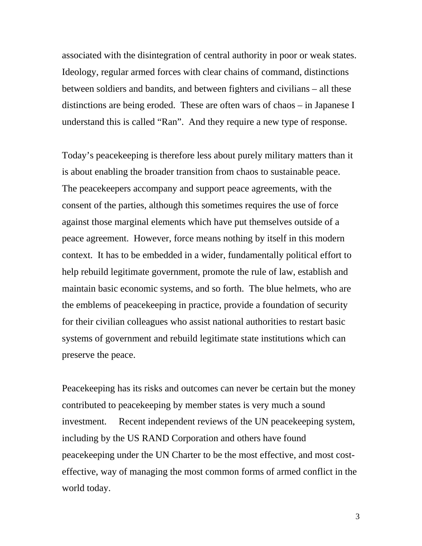associated with the disintegration of central authority in poor or weak states. Ideology, regular armed forces with clear chains of command, distinctions between soldiers and bandits, and between fighters and civilians – all these distinctions are being eroded. These are often wars of chaos – in Japanese I understand this is called "Ran". And they require a new type of response.

Today's peacekeeping is therefore less about purely military matters than it is about enabling the broader transition from chaos to sustainable peace. The peacekeepers accompany and support peace agreements, with the consent of the parties, although this sometimes requires the use of force against those marginal elements which have put themselves outside of a peace agreement. However, force means nothing by itself in this modern context. It has to be embedded in a wider, fundamentally political effort to help rebuild legitimate government, promote the rule of law, establish and maintain basic economic systems, and so forth. The blue helmets, who are the emblems of peacekeeping in practice, provide a foundation of security for their civilian colleagues who assist national authorities to restart basic systems of government and rebuild legitimate state institutions which can preserve the peace.

Peacekeeping has its risks and outcomes can never be certain but the money contributed to peacekeeping by member states is very much a sound investment. Recent independent reviews of the UN peacekeeping system, including by the US RAND Corporation and others have found peacekeeping under the UN Charter to be the most effective, and most costeffective, way of managing the most common forms of armed conflict in the world today.

3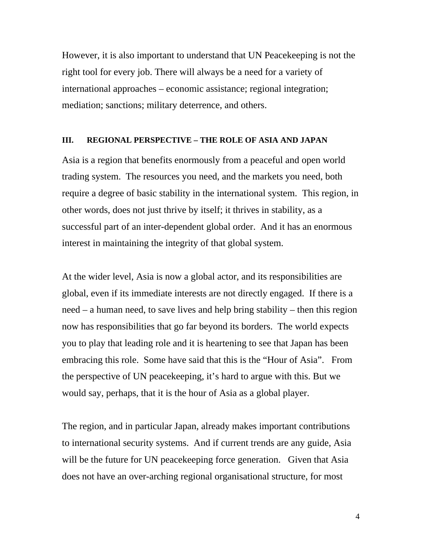However, it is also important to understand that UN Peacekeeping is not the right tool for every job. There will always be a need for a variety of international approaches – economic assistance; regional integration; mediation; sanctions; military deterrence, and others.

### **III. REGIONAL PERSPECTIVE – THE ROLE OF ASIA AND JAPAN**

Asia is a region that benefits enormously from a peaceful and open world trading system. The resources you need, and the markets you need, both require a degree of basic stability in the international system. This region, in other words, does not just thrive by itself; it thrives in stability, as a successful part of an inter-dependent global order. And it has an enormous interest in maintaining the integrity of that global system.

At the wider level, Asia is now a global actor, and its responsibilities are global, even if its immediate interests are not directly engaged. If there is a need – a human need, to save lives and help bring stability – then this region now has responsibilities that go far beyond its borders. The world expects you to play that leading role and it is heartening to see that Japan has been embracing this role. Some have said that this is the "Hour of Asia". From the perspective of UN peacekeeping, it's hard to argue with this. But we would say, perhaps, that it is the hour of Asia as a global player.

The region, and in particular Japan, already makes important contributions to international security systems. And if current trends are any guide, Asia will be the future for UN peace keeping force generation. Given that Asia does not have an over-arching regional organisational structure, for most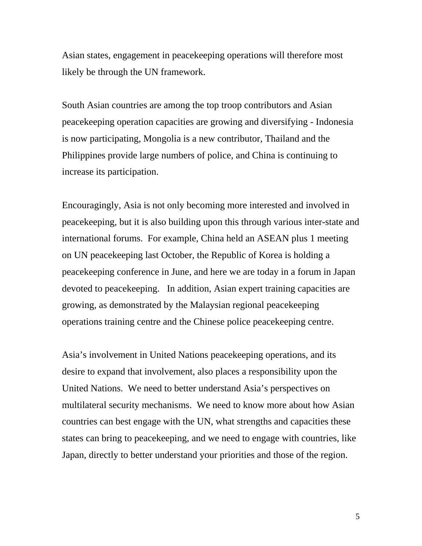Asian states, engagement in peacekeeping operations will therefore most likely be through the UN framework.

South Asian countries are among the top troop contributors and Asian peacekeeping operation capacities are growing and diversifying - Indonesia is now participating, Mongolia is a new contributor, Thailand and the Philippines provide large numbers of police, and China is continuing to increase its participation.

Encouragingly, Asia is not only becoming more interested and involved in peacekeeping, but it is also building upon this through various inter-state and international forums. For example, China held an ASEAN plus 1 meeting on UN peacekeeping last October, the Republic of Korea is holding a peacekeeping conference in June, and here we are today in a forum in Japan devoted to peacekeeping. In addition, Asian expert training capacities are growing, as demonstrated by the Malaysian regional peacekeeping operations training centre and the Chinese police peacekeeping centre.

Asia's involvement in United Nations peacekeeping operations, and its desire to expand that involvement, also places a responsibility upon the United Nations. We need to better understand Asia's perspectives on multilateral security mechanisms. We need to know more about how Asian countries can best engage with the UN, what strengths and capacities these states can bring to peacekeeping, and we need to engage with countries, like Japan, directly to better understand your priorities and those of the region.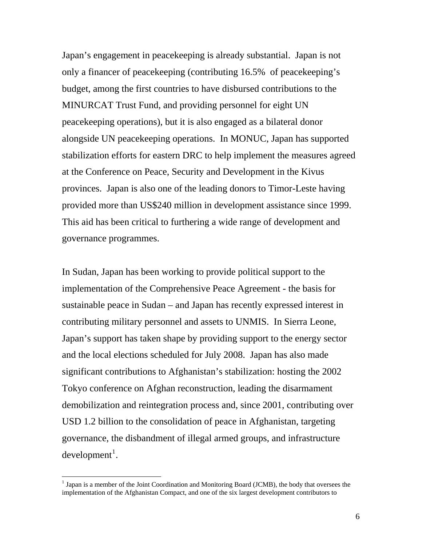Japan's engagement in peacekeeping is already substantial. Japan is not only a financer of peacekeeping (contributing 16.5% of peacekeeping's budget, among the first countries to have disbursed contributions to the MINURCAT Trust Fund, and providing personnel for eight UN peacekeeping operations), but it is also engaged as a bilateral donor alongside UN peacekeeping operations. In MONUC, Japan has supported stabilization efforts for eastern DRC to help implement the measures agreed at the Conference on Peace, Security and Development in the Kivus provinces. Japan is also one of the leading donors to Timor-Leste having provided more than US\$240 million in development assistance since 1999. This aid has been critical to furthering a wide range of development and governance programmes.

In Sudan, Japan has been working to provide political support to the implementation of the Comprehensive Peace Agreement - the basis for sustainable peace in Sudan – and Japan has recently expressed interest in contributing military personnel and assets to UNMIS. In Sierra Leone, Japan's support has taken shape by providing support to the energy sector and the local elections scheduled for July 2008. Japan has also made significant contributions to Afghanistan's stabilization: hosting the 2002 Tokyo conference on Afghan reconstruction, leading the disarmament demobilization and reintegration process and, since 2001, contributing over USD 1.2 billion to the consolidation of peace in Afghanistan, targeting governance, the disbandment of illegal armed groups, and infrastructure  $development<sup>1</sup>$  $development<sup>1</sup>$  $development<sup>1</sup>$ .

 $\overline{a}$ 

<span id="page-5-0"></span><sup>&</sup>lt;sup>1</sup> Japan is a member of the Joint Coordination and Monitoring Board (JCMB), the body that oversees the implementation of the Afghanistan Compact, and one of the six largest development contributors to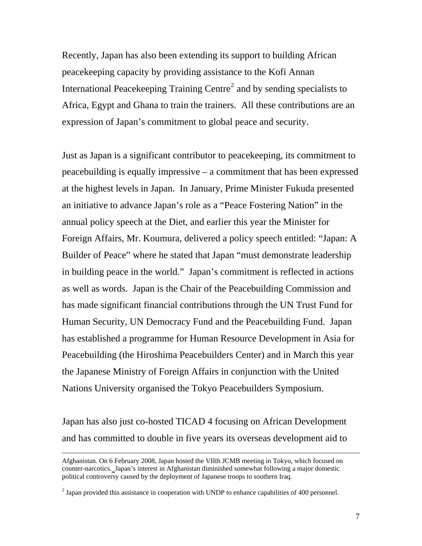Recently, Japan has also been extending its support to building African peacekeeping capacity by providing assistance to the Kofi Annan International Peacekeeping Training Centre<sup>[2](#page-6-0)</sup> and by sending specialists to Africa, Egypt and Ghana to train the trainers. All these contributions are an expression of Japan's commitment to global peace and security.

Just as Japan is a significant contributor to peacekeeping, its commitment to peacebuilding is equally impressive – a commitment that has been expressed at the highest levels in Japan. In January, Prime Minister Fukuda presented an initiative to advance Japan's role as a "Peace Fostering Nation" in the annual policy speech at the Diet, and earlier this year the Minister for Foreign Affairs, Mr. Koumura, delivered a policy speech entitled: "Japan: A Builder of Peace" where he stated that Japan "must demonstrate leadership in building peace in the world." Japan's commitment is reflected in actions as well as words. Japan is the Chair of the Peacebuilding Commission and has made significant financial contributions through the UN Trust Fund for Human Security, UN Democracy Fund and the Peacebuilding Fund. Japan has established a programme for Human Resource Development in Asia for Peacebuilding (the Hiroshima Peacebuilders Center) and in March this year the Japanese Ministry of Foreign Affairs in conjunction with the United Nations University organised the Tokyo Peacebuilders Symposium.

Japan has also just co-hosted TICAD 4 focusing on African Development and has committed to double in five years its overseas development aid to

Afghanistan. On 6 February 2008, Japan hosted the VIIth JCMB meeting in Tokyo, which focused on counter-narcotics.Japan's interest in Afghanistan diminished somewhat following a major domestic political controversy caused by the deployment of Japanese troops to southern Iraq.

<span id="page-6-0"></span> $2^{2}$  Japan provided this assistance in cooperation with UNDP to enhance capabilities of 400 personnel.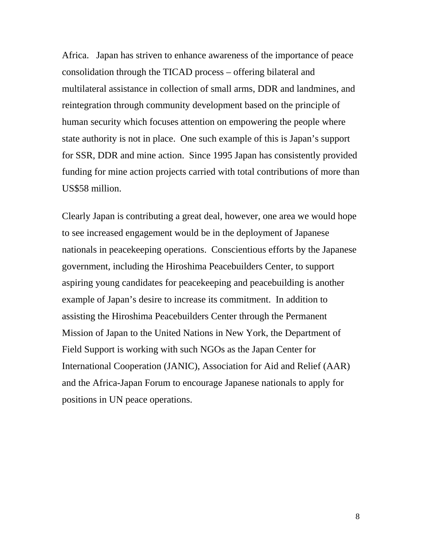Africa. Japan has striven to enhance awareness of the importance of peace consolidation through the TICAD process – offering bilateral and multilateral assistance in collection of small arms, DDR and landmines, and reintegration through community development based on the principle of human security which focuses attention on empowering the people where state authority is not in place. One such example of this is Japan's support for SSR, DDR and mine action. Since 1995 Japan has consistently provided funding for mine action projects carried with total contributions of more than US\$58 million.

Clearly Japan is contributing a great deal, however, one area we would hope to see increased engagement would be in the deployment of Japanese nationals in peacekeeping operations. Conscientious efforts by the Japanese government, including the Hiroshima Peacebuilders Center, to support aspiring young candidates for peacekeeping and peacebuilding is another example of Japan's desire to increase its commitment. In addition to assisting the Hiroshima Peacebuilders Center through the Permanent Mission of Japan to the United Nations in New York, the Department of Field Support is working with such NGOs as the Japan Center for International Cooperation (JANIC), Association for Aid and Relief (AAR) and the Africa-Japan Forum to encourage Japanese nationals to apply for positions in UN peace operations.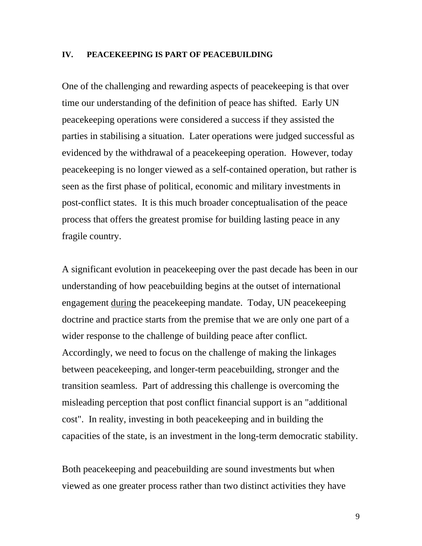#### **IV. PEACEKEEPING IS PART OF PEACEBUILDING**

One of the challenging and rewarding aspects of peacekeeping is that over time our understanding of the definition of peace has shifted. Early UN peacekeeping operations were considered a success if they assisted the parties in stabilising a situation. Later operations were judged successful as evidenced by the withdrawal of a peacekeeping operation. However, today peacekeeping is no longer viewed as a self-contained operation, but rather is seen as the first phase of political, economic and military investments in post-conflict states. It is this much broader conceptualisation of the peace process that offers the greatest promise for building lasting peace in any fragile country.

A significant evolution in peacekeeping over the past decade has been in our understanding of how peacebuilding begins at the outset of international engagement during the peacekeeping mandate. Today, UN peacekeeping doctrine and practice starts from the premise that we are only one part of a wider response to the challenge of building peace after conflict. Accordingly, we need to focus on the challenge of making the linkages between peacekeeping, and longer-term peacebuilding, stronger and the transition seamless. Part of addressing this challenge is overcoming the misleading perception that post conflict financial support is an "additional cost". In reality, investing in both peacekeeping and in building the capacities of the state, is an investment in the long-term democratic stability.

Both peacekeeping and peacebuilding are sound investments but when viewed as one greater process rather than two distinct activities they have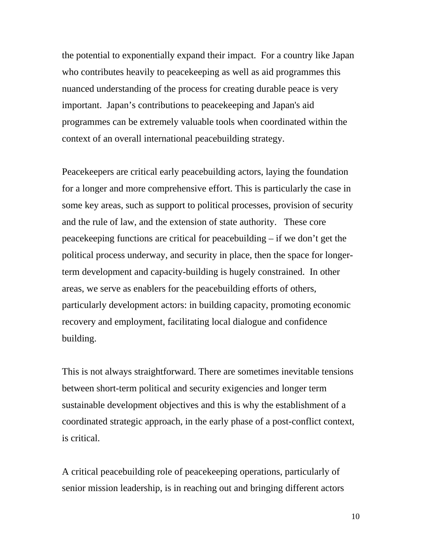the potential to exponentially expand their impact. For a country like Japan who contributes heavily to peacekeeping as well as aid programmes this nuanced understanding of the process for creating durable peace is very important. Japan's contributions to peacekeeping and Japan's aid programmes can be extremely valuable tools when coordinated within the context of an overall international peacebuilding strategy.

Peacekeepers are critical early peacebuilding actors, laying the foundation for a longer and more comprehensive effort. This is particularly the case in some key areas, such as support to political processes, provision of security and the rule of law, and the extension of state authority. These core peacekeeping functions are critical for peacebuilding – if we don't get the political process underway, and security in place, then the space for longerterm development and capacity-building is hugely constrained. In other areas, we serve as enablers for the peacebuilding efforts of others, particularly development actors: in building capacity, promoting economic recovery and employment, facilitating local dialogue and confidence building.

This is not always straightforward. There are sometimes inevitable tensions between short-term political and security exigencies and longer term sustainable development objectives and this is why the establishment of a coordinated strategic approach, in the early phase of a post-conflict context, is critical.

A critical peacebuilding role of peacekeeping operations, particularly of senior mission leadership, is in reaching out and bringing different actors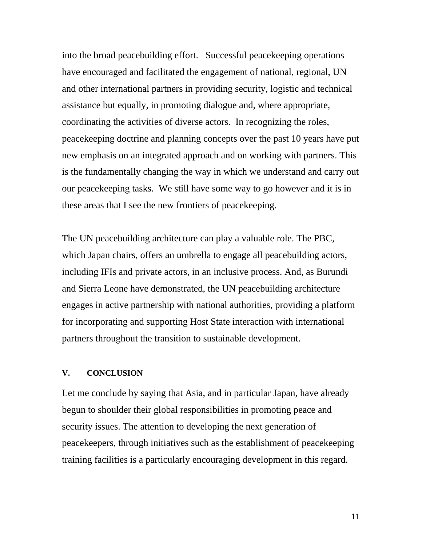into the broad peacebuilding effort. Successful peacekeeping operations have encouraged and facilitated the engagement of national, regional, UN and other international partners in providing security, logistic and technical assistance but equally, in promoting dialogue and, where appropriate, coordinating the activities of diverse actors. In recognizing the roles, peacekeeping doctrine and planning concepts over the past 10 years have put new emphasis on an integrated approach and on working with partners. This is the fundamentally changing the way in which we understand and carry out our peacekeeping tasks. We still have some way to go however and it is in these areas that I see the new frontiers of peacekeeping.

The UN peacebuilding architecture can play a valuable role. The PBC, which Japan chairs, offers an umbrella to engage all peacebuilding actors, including IFIs and private actors, in an inclusive process. And, as Burundi and Sierra Leone have demonstrated, the UN peacebuilding architecture engages in active partnership with national authorities, providing a platform for incorporating and supporting Host State interaction with international partners throughout the transition to sustainable development.

#### **V. CONCLUSION**

Let me conclude by saying that Asia, and in particular Japan, have already begun to shoulder their global responsibilities in promoting peace and security issues. The attention to developing the next generation of peacekeepers, through initiatives such as the establishment of peacekeeping training facilities is a particularly encouraging development in this regard.